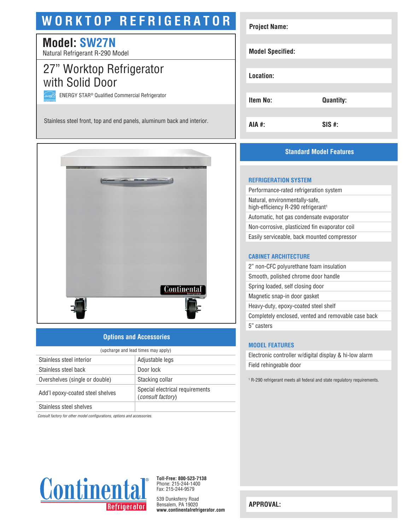# **WORKTOP REFRIGERATOR**

# **Model: SW27N**

Natural Refrigerant R-290 Model

## 27" Worktop Refrigerator with Solid Door

ENERGY STAR® Qualified Commercial Refrigerator

Stainless steel front, top and end panels, aluminum back and interior.



### **Options and Accessories**

| (upcharge and lead times may apply) |                                                             |  |
|-------------------------------------|-------------------------------------------------------------|--|
| Stainless steel interior            | Adjustable legs                                             |  |
| Stainless steel back                | Door lock                                                   |  |
| Overshelves (single or double)      | Stacking collar                                             |  |
| Add'l epoxy-coated steel shelves    | Special electrical requirements<br><i>(consult factory)</i> |  |
| Stainless steel shelves             |                                                             |  |

*Consult factory for other model configurations, options and accessories.*



**Toll-Free: 800-523-7138** Phone: 215-244-1400 Fax: 215-244-9579

539 Dunksferry Road Bensalem, PA 19020 **www.continentalrefrigerator.com** 

| <b>Project Name:</b>    |                  |
|-------------------------|------------------|
|                         |                  |
| <b>Model Specified:</b> |                  |
|                         |                  |
| Location:               |                  |
|                         |                  |
| <b>Item No:</b>         | <b>Quantity:</b> |
|                         |                  |
| AIA #:                  | $SIS$ #:         |

### **Standard Model Features**

#### **REFRIGERATION SYSTEM**

Performance-rated refrigeration system Natural, environmentally-safe, high-efficiency R-290 refrigerant<sup>1</sup> Automatic, hot gas condensate evaporator Non-corrosive, plasticized fin evaporator coil Easily serviceable, back mounted compressor

#### **CABINET ARCHITECTURE**

2" non-CFC polyurethane foam insulation Smooth, polished chrome door handle Spring loaded, self closing door Magnetic snap-in door gasket Heavy-duty, epoxy-coated steel shelf Completely enclosed, vented and removable case back 5" casters

#### **MODEL FEATURES**

Electronic controller w/digital display & hi-low alarm Field rehingeable door

1 R-290 refrigerant meets all federal and state regulatory requirements.

**APPROVAL:**